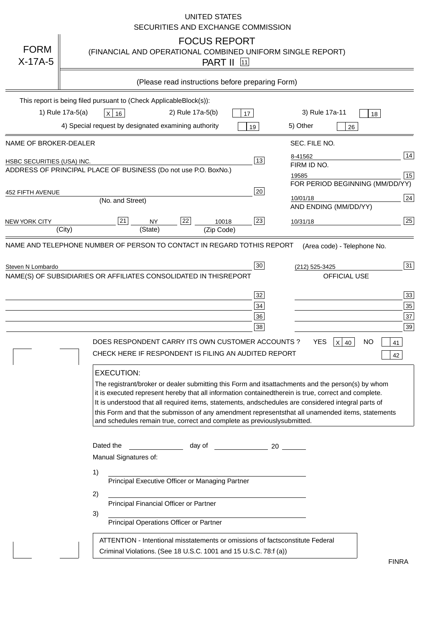|                                   | <b>UNITED STATES</b><br>SECURITIES AND EXCHANGE COMMISSION                                                                                                                                                                                                                                                                                                                                                                                                                                                                                                                                                                                                                                                                                                                                                                                                               |
|-----------------------------------|--------------------------------------------------------------------------------------------------------------------------------------------------------------------------------------------------------------------------------------------------------------------------------------------------------------------------------------------------------------------------------------------------------------------------------------------------------------------------------------------------------------------------------------------------------------------------------------------------------------------------------------------------------------------------------------------------------------------------------------------------------------------------------------------------------------------------------------------------------------------------|
| <b>FORM</b><br>$X-17A-5$          | <b>FOCUS REPORT</b><br>(FINANCIAL AND OPERATIONAL COMBINED UNIFORM SINGLE REPORT)<br><b>PART II</b> 11                                                                                                                                                                                                                                                                                                                                                                                                                                                                                                                                                                                                                                                                                                                                                                   |
|                                   | (Please read instructions before preparing Form)                                                                                                                                                                                                                                                                                                                                                                                                                                                                                                                                                                                                                                                                                                                                                                                                                         |
|                                   | This report is being filed pursuant to (Check Applicable<br>$Block(s)$ :<br>3) Rule 17a-11<br>1) Rule 17a-5(a)<br>2) Rule 17a-5(b)<br>$X$ 16<br>17<br>18<br>4) Special request by designated examining authority<br>5) Other<br>19<br>26                                                                                                                                                                                                                                                                                                                                                                                                                                                                                                                                                                                                                                 |
| NAME OF BROKER-DEALER             | SEC. FILE NO.                                                                                                                                                                                                                                                                                                                                                                                                                                                                                                                                                                                                                                                                                                                                                                                                                                                            |
| <b>HSBC SECURITIES (USA) INC.</b> | 14<br>8-41562<br>13<br>FIRM ID NO.<br>ADDRESS OF PRINCIPAL PLACE OF BUSINESS (Do not use P.O. Box<br>No.)<br>15<br>19585<br>FOR PERIOD BEGINNING (MM/DD/YY)                                                                                                                                                                                                                                                                                                                                                                                                                                                                                                                                                                                                                                                                                                              |
| <b>452 FIFTH AVENUE</b>           | 20<br>24<br>10/01/18<br>(No. and Street)                                                                                                                                                                                                                                                                                                                                                                                                                                                                                                                                                                                                                                                                                                                                                                                                                                 |
| <b>NEW YORK CITY</b>              | AND ENDING (MM/DD/YY)<br>25<br>22<br>21<br>23<br><b>NY</b><br>10018<br>10/31/18<br>(City)<br>(State)<br>(Zip Code)                                                                                                                                                                                                                                                                                                                                                                                                                                                                                                                                                                                                                                                                                                                                                       |
|                                   | NAME(S) OF SUBSIDIARIES OR AFFILIATES CONSOLIDATED IN THIS<br><b>REPORT</b><br><b>OFFICIAL USE</b><br>$\overline{33}$<br>32<br>35<br>34<br>37<br>36<br>39<br>38<br>DOES RESPONDENT CARRY ITS OWN CUSTOMER ACCOUNTS?<br><b>YES</b><br>$X$ 40<br><b>NO</b><br>41<br>CHECK HERE IF RESPONDENT IS FILING AN AUDITED REPORT<br>42<br><b>EXECUTION:</b><br>The registrant/broker or dealer submitting this Form and its<br>attachments and the person(s) by whom<br>it is executed represent hereby that all information contained<br>therein is true, correct and complete.<br>It is understood that all required items, statements, and<br>schedules are considered integral parts of<br>this Form and that the submisson of any amendment represents<br>that all unamended items, statements<br>and schedules remain true, correct and complete as previously<br>submitted. |
|                                   | Dated the<br>day of<br>20<br>Manual Signatures of:<br>1)<br>Principal Executive Officer or Managing Partner<br>2)<br>Principal Financial Officer or Partner<br>3)<br>Principal Operations Officer or Partner                                                                                                                                                                                                                                                                                                                                                                                                                                                                                                                                                                                                                                                             |
|                                   | ATTENTION - Intentional misstatements or omissions of facts<br>constitute Federal<br>Criminal Violations. (See 18 U.S.C. 1001 and 15 U.S.C. 78:f (a)<br>$\lambda$<br><b>FINRA</b>                                                                                                                                                                                                                                                                                                                                                                                                                                                                                                                                                                                                                                                                                        |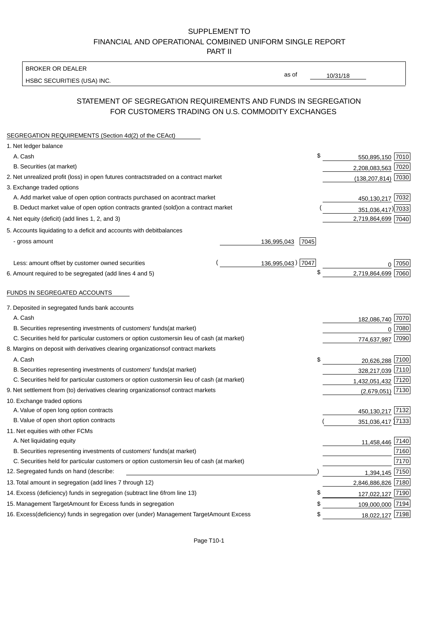BROKER OR DEALER

HSBC SECURITIES (USA) INC.

10/31/18

as of

## STATEMENT OF SEGREGATION REQUIREMENTS AND FUNDS IN SEGREGATION FOR CUSTOMERS TRADING ON U.S. COMMODITY EXCHANGES

| SEGREGATION REQUIREMENTS (Section 4d(2) of the CEAct)                                          |                     |                    |        |
|------------------------------------------------------------------------------------------------|---------------------|--------------------|--------|
| 1. Net ledger balance                                                                          |                     |                    |        |
| A. Cash                                                                                        | \$                  | 550,895,150 7010   |        |
| B. Securities (at market)                                                                      |                     | 2,208,083,563 7020 |        |
| 2. Net unrealized profit (loss) in open futures contracts<br>traded on a contract market       |                     | (138,207,814) 7030 |        |
| 3. Exchange traded options                                                                     |                     |                    |        |
| A. Add market value of open option contracts purchased on a<br>contract market                 |                     | 450,130,217 7032   |        |
| B. Deduct market value of open option contracts granted (sold)<br>on a contract market         |                     | 351,036,417) 7033  |        |
| 4. Net equity (deficit) (add lines 1, 2, and 3)                                                |                     | 2,719,864,699 7040 |        |
| 5. Accounts liquidating to a deficit and accounts with debit<br>balances                       |                     |                    |        |
| - gross amount                                                                                 | 7045<br>136,995,043 |                    |        |
|                                                                                                |                     |                    |        |
| Less: amount offset by customer owned securities                                               | 136,995,043) 7047   |                    | ∩ 7050 |
| 6. Amount required to be segregated (add lines 4 and 5)                                        | \$                  | 2,719,864,699 7060 |        |
|                                                                                                |                     |                    |        |
| FUNDS IN SEGREGATED ACCOUNTS                                                                   |                     |                    |        |
| 7. Deposited in segregated funds bank accounts                                                 |                     |                    |        |
| A. Cash                                                                                        |                     | 182,086,740        | 7070   |
| B. Securities representing investments of customers' funds<br>(at market)                      |                     | $\Omega$           | 7080   |
| C. Securities held for particular customers or option customers<br>in lieu of cash (at market) |                     | 774,637,987        | 7090   |
| 8. Margins on deposit with derivatives clearing organizations<br>of contract markets           |                     |                    |        |
| A. Cash                                                                                        | \$                  | 20,626,288 7100    |        |
| B. Securities representing investments of customers' funds<br>(at market)                      |                     | 328,217,039 7110   |        |
| C. Securities held for particular customers or option customers<br>in lieu of cash (at market) |                     | 1,432,051,432 7120 |        |
| 9. Net settlement from (to) derivatives clearing organizations<br>of contract markets          |                     | $(2,679,051)$ 7130 |        |
| 10. Exchange traded options                                                                    |                     |                    |        |
| A. Value of open long option contracts                                                         |                     | 450,130,217 7132   |        |
| B. Value of open short option contracts                                                        |                     | 351,036,417 7133   |        |
| 11. Net equities with other FCMs                                                               |                     |                    |        |
| A. Net liquidating equity                                                                      |                     | 11,458,446 7140    |        |
| B. Securities representing investments of customers' funds<br>(at market)                      |                     |                    | 7160   |
| C. Securities held for particular customers or option customers<br>in lieu of cash (at market) |                     |                    | 7170   |
| 12. Segregated funds on hand (describe:                                                        |                     | 1,394,145          | 7150   |
| 13. Total amount in segregation (add lines 7 through 12)                                       |                     | 2,846,886,826 7180 |        |
| 14. Excess (deficiency) funds in segregation (subtract line 6<br>from line 13)                 | \$                  | 127,022,127 7190   |        |
| 15. Management Target Amount for Excess funds in segregation                                   | \$                  | 109,000,000 7194   |        |
| 16. Excess (deficiency) funds in segregation over (under) Management Target Amount Excess      | \$                  | 18,022,127 7198    |        |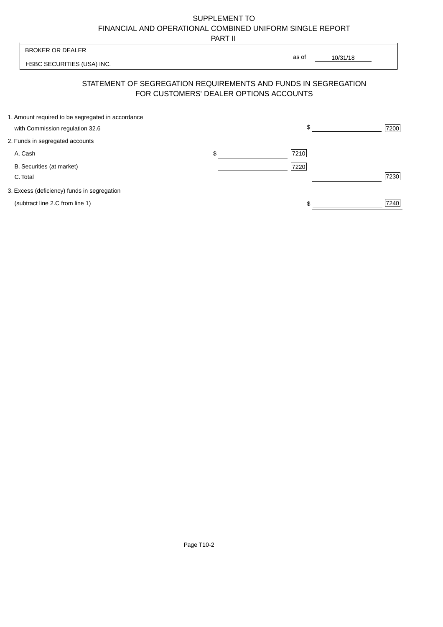PART II

|                                                   | .                                      |                                                                |      |
|---------------------------------------------------|----------------------------------------|----------------------------------------------------------------|------|
| <b>BROKER OR DEALER</b>                           |                                        |                                                                |      |
| HSBC SECURITIES (USA) INC.                        |                                        | as of<br>10/31/18                                              |      |
|                                                   | FOR CUSTOMERS' DEALER OPTIONS ACCOUNTS | STATEMENT OF SEGREGATION REQUIREMENTS AND FUNDS IN SEGREGATION |      |
| 1. Amount required to be segregated in accordance |                                        |                                                                |      |
| with Commission regulation 32.6                   |                                        | \$                                                             | 7200 |
| 2. Funds in segregated accounts                   |                                        |                                                                |      |
| A. Cash                                           | \$                                     | 7210                                                           |      |
| B. Securities (at market)                         |                                        | 7220                                                           |      |
| C. Total                                          |                                        |                                                                | 7230 |
| 3. Excess (deficiency) funds in segregation       |                                        |                                                                |      |
| (subtract line 2.C from line 1)                   |                                        |                                                                | 7240 |
|                                                   |                                        |                                                                |      |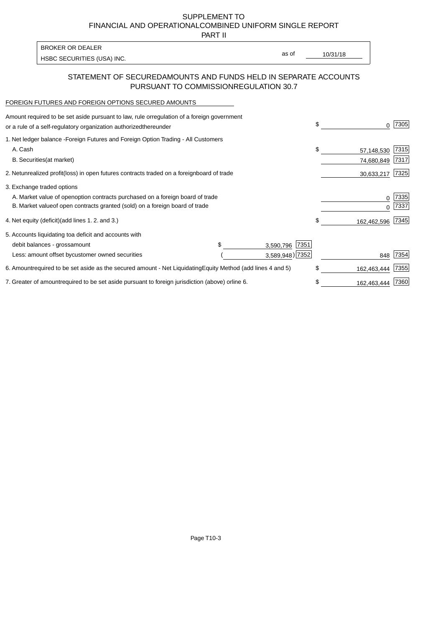PART II

as of

HSBC SECURITIES (USA) INC. The state of the second second in the second second in the second second in the second second second in the second second second second second second second second second second second second sec

### STATEMENT OF SECURED AMOUNTS AND FUNDS HELD IN SEPARATE ACCOUNTS PURSUANT TO COMMISSION REGULATION 30.7

#### FOREIGN FUTURES AND FOREIGN OPTIONS SECURED AMOUNTS

BROKER OR DEALER

| Amount required to be set aside pursuant to law, rule or<br>regulation of a foreign government<br>or a rule of a self-regulatory organization authorized<br>thereunder |                |                                   | \$<br>0           | 7305 |
|------------------------------------------------------------------------------------------------------------------------------------------------------------------------|----------------|-----------------------------------|-------------------|------|
| 1. Net ledger balance - Foreign Futures and Foreign Option Trading - All Customers<br>A. Cash                                                                          |                |                                   | \$<br>57,148,530  | 7315 |
| <b>B.</b> Securities<br>(at market)                                                                                                                                    |                |                                   | 74,680,849        | 7317 |
| 2. Net unrealized profit (loss) in open futures contracts traded on a foreign                                                                                          | board of trade |                                   | 30,633,217        | 7325 |
| 3. Exchange traded options                                                                                                                                             |                |                                   |                   |      |
| A. Market value of open option contracts purchased on a foreign board of trade                                                                                         |                |                                   | 0                 | 7335 |
| B. Market value of open contracts granted (sold) on a foreign board of trade                                                                                           |                |                                   | U                 | 7337 |
| 4. Net equity (deficit) (add lines 1.2. and 3.)                                                                                                                        |                |                                   | \$<br>162,462,596 | 7345 |
| 5. Accounts liquidating to a deficit and accounts with                                                                                                                 |                |                                   |                   |      |
| debit balances - gross<br>amount                                                                                                                                       |                | 7351<br>3,590,796                 |                   |      |
| Less: amount offset by customer owned securities                                                                                                                       |                | 3,589,948) 7352                   | 848               | 7354 |
| 6. Amount required to be set aside as the secured amount - Net Liquidating                                                                                             |                | Equity Method (add lines 4 and 5) | \$<br>162,463,444 | 7355 |
| 7. Greater of amount required to be set aside pursuant to foreign jurisdiction (above) or                                                                              | line 6.        |                                   | \$<br>162,463,444 | 7360 |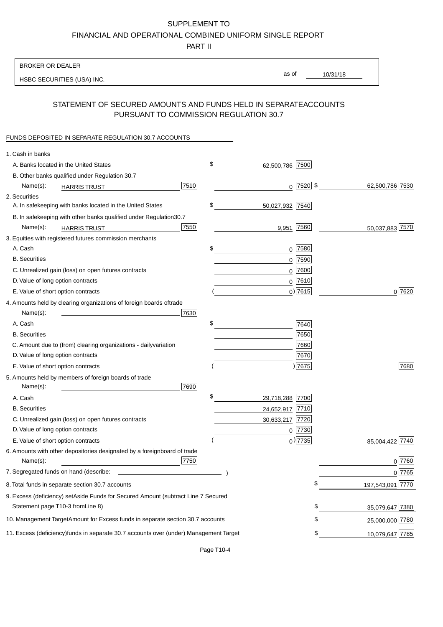PART II

| <b>BROKER OR DEALER</b>                                                                           |                       |             |                 |                  |
|---------------------------------------------------------------------------------------------------|-----------------------|-------------|-----------------|------------------|
| HSBC SECURITIES (USA) INC.                                                                        | as of                 |             | 10/31/18        |                  |
|                                                                                                   |                       |             |                 |                  |
| STATEMENT OF SECURED AMOUNTS AND FUNDS HELD IN SEPARATE<br>PURSUANT TO COMMISSION REGULATION 30.7 |                       |             | <b>ACCOUNTS</b> |                  |
| FUNDS DEPOSITED IN SEPARATE REGULATION 30.7 ACCOUNTS                                              |                       |             |                 |                  |
| 1. Cash in banks                                                                                  |                       |             |                 |                  |
| A. Banks located in the United States                                                             | \$<br>62,500,786 7500 |             |                 |                  |
| B. Other banks qualified under Regulation 30.7                                                    |                       |             |                 |                  |
| 7510<br>Name(s):<br><b>HARRIS TRUST</b>                                                           |                       | $0$ 7520 \$ |                 | 62,500,786 7530  |
| 2. Securities                                                                                     |                       |             |                 |                  |
| A. In safekeeping with banks located in the United States                                         | \$<br>50,027,932 7540 |             |                 |                  |
| 30.7<br>B. In safekeeping with other banks qualified under Regulation                             |                       |             |                 |                  |
| 7550<br>Name(s):<br><b>HARRIS TRUST</b>                                                           | 9,951 7560            |             |                 | 50,037,883 7570  |
| 3. Equities with registered futures commission merchants                                          |                       |             |                 |                  |
| A. Cash                                                                                           | \$<br>$0$ 7580        |             |                 |                  |
| <b>B.</b> Securities                                                                              | $0$ 7590              |             |                 |                  |
| C. Unrealized gain (loss) on open futures contracts                                               | $0$ 7600              |             |                 |                  |
| D. Value of long option contracts                                                                 | $0^{7610}$            |             |                 |                  |
| E. Value of short option contracts                                                                | $0)$ 7615             |             |                 | 0 7620           |
| 4. Amounts held by clearing organizations of foreign boards of<br>trade                           |                       |             |                 |                  |
| Name(s):<br>7630                                                                                  |                       |             |                 |                  |
| A. Cash                                                                                           | \$                    | 7640        |                 |                  |
| <b>B.</b> Securities                                                                              |                       | 7650        |                 |                  |
| C. Amount due to (from) clearing organizations - daily<br>variation                               |                       | 7660        |                 |                  |
| D. Value of long option contracts                                                                 |                       | 7670        |                 |                  |
| E. Value of short option contracts                                                                |                       | )7675       |                 | 7680             |
| 5. Amounts held by members of foreign boards of trade<br>Name(s):<br>7690                         |                       |             |                 |                  |
| A. Cash                                                                                           | \$<br>29,718,288 7700 |             |                 |                  |
| <b>B.</b> Securities                                                                              | 24,652,917 7710       |             |                 |                  |
| C. Unrealized gain (loss) on open futures contracts                                               | 30,633,217 7720       |             |                 |                  |
| D. Value of long option contracts                                                                 | $0$ 7730              |             |                 |                  |
| E. Value of short option contracts                                                                | $_0)$ 7735            |             |                 | 85,004,422 7740  |
| 6. Amounts with other depositories designated by a foreign<br>board of trade<br>7750<br>Name(s):  |                       |             |                 | 0 7760           |
| 7. Segregated funds on hand (describe:                                                            |                       |             |                 | 0 7765           |
| 8. Total funds in separate section 30.7 accounts                                                  |                       | \$          |                 | 197,543,091 7770 |
| 9. Excess (deficiency) set Aside Funds for Secured Amount (subtract Line 7 Secured                |                       |             |                 |                  |
| Statement page T10-3 from Line 8)                                                                 |                       | \$          |                 | 35,079,647 7380  |
| 10. Management Target Amount for Excess funds in separate section 30.7 accounts                   |                       | \$          |                 | 25,000,000 7780  |
| 11. Excess (deficiency) funds in separate 30.7 accounts over (under) Management Target            |                       | \$          |                 | 10,079,647 7785  |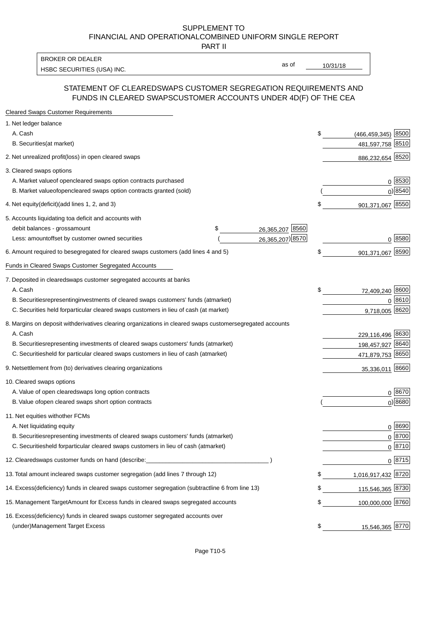PART II

HSBC SECURITIES (USA) INC. The state of the state of the state of the state of the state of the state of the state of the state of the state of the state of the state of the state of the state of the state of the state of BROKER OR DEALER

as of

#### STATEMENT OF CLEARED SWAPS CUSTOMER SEGREGATION REQUIREMENTS AND FUNDS IN CLEARED SWAPS CUSTOMER ACCOUNTS UNDER 4D(F) OF THE CEA

| <b>Cleared Swaps Customer Requirements</b>                                                                  |                               |
|-------------------------------------------------------------------------------------------------------------|-------------------------------|
| 1. Net ledger balance                                                                                       |                               |
| A. Cash                                                                                                     | \$<br>8500<br>(466, 459, 345) |
| B. Securities (at market)                                                                                   | 481,597,758 8510              |
| 2. Net unrealized profit (loss) in open cleared swaps                                                       | 886,232,654 8520              |
| 3. Cleared swaps options                                                                                    |                               |
| A. Market value of open cleared swaps option contracts purchased                                            | $0^{8530}$                    |
| B. Market value of open cleared swaps option contracts granted (sold)                                       | $0)$ 8540                     |
| 4. Net equity (deficit) (add lines 1, 2, and 3)                                                             | \$<br>901,371,067 8550        |
| 5. Accounts liquidating to a deficit and accounts with                                                      |                               |
| 26,365,207 8560<br>debit balances - gross amount<br>\$                                                      |                               |
| 26,365,207) 8570<br>Less: amount offset by customer owned securities                                        | 0 8580                        |
| 6. Amount required to be segregated for cleared swaps customers (add lines 4 and 5)                         | \$<br>901,371,067 8590        |
| Funds in Cleared Swaps Customer Segregated Accounts                                                         |                               |
| 7. Deposited in cleared swaps customer segregated accounts at banks                                         |                               |
| A. Cash                                                                                                     | \$<br>72,409,240 8600         |
| B. Securities representing investments of cleared swaps customers' funds (at market)                        | $0^{8610}$                    |
| C. Securities held for particular cleared swaps customers in lieu of cash (at market)                       | 9,718,005 8620                |
| 8. Margins on deposit with derivatives clearing organizations in cleared swaps customer segregated accounts |                               |
| A. Cash                                                                                                     | 229,116,496 8630              |
| B. Securities representing investments of cleared swaps customers' funds (at market)                        | 198,457,927 8640              |
| C. Securities<br>held for particular cleared swaps customers in lieu of cash (at market)                    | 471,879,753 8650              |
| 9. Net settlement from (to) derivatives clearing organizations                                              | 35,336,011 8660               |
| 10. Cleared swaps options                                                                                   |                               |
| A. Value of open cleared swaps long option contracts                                                        | $0^{8670}$                    |
| B. Value of open cleared swaps short option contracts                                                       | $0$ ) 8680                    |
| 11. Net equities with other FCMs                                                                            |                               |
| A. Net liquidating equity                                                                                   | $0^{8690}$                    |
| B. Securities representing investments of cleared swaps customers' funds (at market)                        | $0^{8700}$                    |
| C. Securities held for particular cleared swaps customers in lieu of cash (at market)                       | 0 8710                        |
| 12. Cleared swaps customer funds on hand (describe:                                                         | $0 \;  8715 $                 |
| 13. Total amount in cleared swaps customer segregation (add lines 7 through 12)                             | \$<br>1,016,917,432 8720      |
| 14. Excess (deficiency) funds in cleared swaps customer segregation (subtract line 6 from line 13)          | 115,546,365 8730              |
| 15. Management Target Amount for Excess funds in cleared swaps segregated accounts                          | \$<br>100,000,000 8760        |
| 16. Excess<br>(deficiency) funds in cleared swaps customer segregated accounts over                         |                               |
| <b>Management Target Excess</b><br>(under)                                                                  | \$<br>15,546,365 8770         |